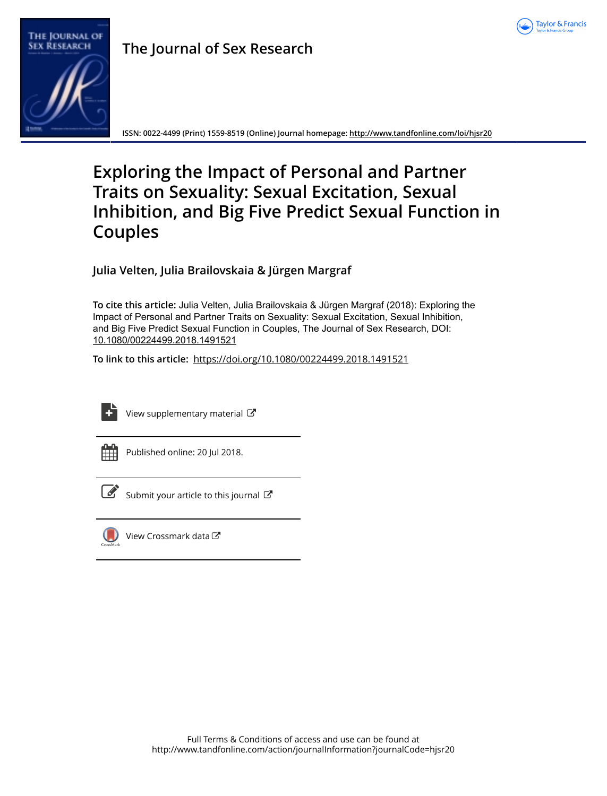

# The Journal of **SEX RESEARCH**

**The Journal of Sex Research**

**ISSN: 0022-4499 (Print) 1559-8519 (Online) Journal homepage:<http://www.tandfonline.com/loi/hjsr20>**

# **Exploring the Impact of Personal and Partner Traits on Sexuality: Sexual Excitation, Sexual Inhibition, and Big Five Predict Sexual Function in Couples**

**Julia Velten, Julia Brailovskaia & Jürgen Margraf**

**To cite this article:** Julia Velten, Julia Brailovskaia & Jürgen Margraf (2018): Exploring the Impact of Personal and Partner Traits on Sexuality: Sexual Excitation, Sexual Inhibition, and Big Five Predict Sexual Function in Couples, The Journal of Sex Research, DOI: [10.1080/00224499.2018.1491521](http://www.tandfonline.com/action/showCitFormats?doi=10.1080/00224499.2018.1491521)

**To link to this article:** <https://doi.org/10.1080/00224499.2018.1491521>



[View supplementary material](http://www.tandfonline.com/doi/suppl/10.1080/00224499.2018.1491521) C



Published online: 20 Jul 2018.



 $\mathbb S$  [Submit your article to this journal](http://www.tandfonline.com/action/authorSubmission?journalCode=hjsr20&show=instructions)  $\mathbb S$ 



[View Crossmark data](http://crossmark.crossref.org/dialog/?doi=10.1080/00224499.2018.1491521&domain=pdf&date_stamp=2018-07-20) $\mathbb{Z}$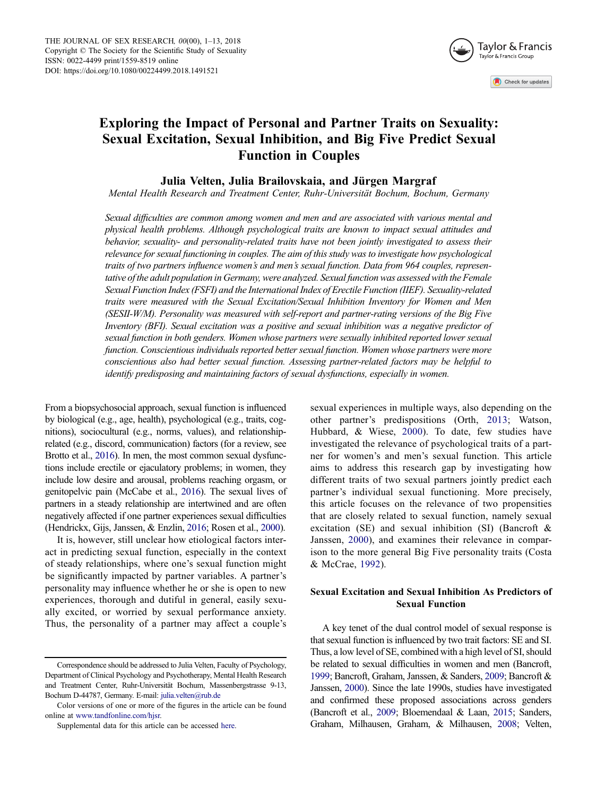

Check for updates

# <span id="page-1-0"></span>Exploring the Impact of Personal and Partner Traits on Sexuality: Sexual Excitation, Sexual Inhibition, and Big Five Predict Sexual Function in Couples

# Julia Velten, Julia Brailovskaia, and Jürgen Margraf

Mental Health Research and Treatment Center, Ruhr-Universität Bochum, Bochum, Germany

Sexual difficulties are common among women and men and are associated with various mental and physical health problems. Although psychological traits are known to impact sexual attitudes and behavior, sexuality- and personality-related traits have not been jointly investigated to assess their relevance for sexual functioning in couples. The aim of this study was to investigate how psychological traits of two partners influence women's and men's sexual function. Data from 964 couples, representative of the adult population in Germany, were analyzed. Sexual function was assessed with the Female Sexual Function Index (FSFI) and the International Index of Erectile Function (IIEF). Sexuality-related traits were measured with the Sexual Excitation/Sexual Inhibition Inventory for Women and Men (SESII-W/M). Personality was measured with self-report and partner-rating versions of the Big Five Inventory (BFI). Sexual excitation was a positive and sexual inhibition was a negative predictor of sexual function in both genders. Women whose partners were sexually inhibited reported lower sexual function. Conscientious individuals reported better sexual function. Women whose partners were more conscientious also had better sexual function. Assessing partner-related factors may be helpful to identify predisposing and maintaining factors of sexual dysfunctions, especially in women.

From a biopsychosocial approach, sexual function is influenced by biological (e.g., age, health), psychological (e.g., traits, cognitions), sociocultural (e.g., norms, values), and relationshiprelated (e.g., discord, communication) factors (for a review, see Brotto et al., [2016\)](#page-11-0). In men, the most common sexual dysfunctions include erectile or ejaculatory problems; in women, they include low desire and arousal, problems reaching orgasm, or genitopelvic pain (McCabe et al., [2016\)](#page-12-0). The sexual lives of partners in a steady relationship are intertwined and are often negatively affected if one partner experiences sexual difficulties (Hendrickx, Gijs, Janssen, & Enzlin, [2016](#page-11-0); Rosen et al., [2000\)](#page-12-0).

It is, however, still unclear how etiological factors interact in predicting sexual function, especially in the context of steady relationships, where one's sexual function might be significantly impacted by partner variables. A partner's personality may influence whether he or she is open to new experiences, thorough and dutiful in general, easily sexually excited, or worried by sexual performance anxiety. Thus, the personality of a partner may affect a couple's

sexual experiences in multiple ways, also depending on the other partner's predispositions (Orth, [2013](#page-12-0); Watson, Hubbard, & Wiese, [2000\)](#page-13-0). To date, few studies have investigated the relevance of psychological traits of a partner for women's and men's sexual function. This article aims to address this research gap by investigating how different traits of two sexual partners jointly predict each partner's individual sexual functioning. More precisely, this article focuses on the relevance of two propensities that are closely related to sexual function, namely sexual excitation (SE) and sexual inhibition (SI) (Bancroft & Janssen, [2000\)](#page-11-0), and examines their relevance in comparison to the more general Big Five personality traits (Costa & McCrae, [1992\)](#page-11-0).

# Sexual Excitation and Sexual Inhibition As Predictors of Sexual Function

A key tenet of the dual control model of sexual response is that sexual function is influenced by two trait factors: SE and SI. Thus, a low level of SE, combined with a high level of SI, should be related to sexual difficulties in women and men (Bancroft, [1999](#page-11-0); Bancroft, Graham, Janssen, & Sanders, [2009;](#page-11-0) Bancroft & Janssen, [2000](#page-11-0)). Since the late 1990s, studies have investigated and confirmed these proposed associations across genders (Bancroft et al., [2009;](#page-11-0) Bloemendaal & Laan, [2015](#page-11-0); Sanders, Graham, Milhausen, Graham, & Milhausen, [2008](#page-12-0); Velten,

Correspondence should be addressed to Julia Velten, Faculty of Psychology, Department of Clinical Psychology and Psychotherapy, Mental Health Research and Treatment Center, Ruhr-Universität Bochum, Massenbergstrasse 9-13, Bochum D-44787, Germany. E-mail: julia.velten@rub.de

Color versions of one or more of the figures in the article can be found online at [www.tandfonline.com/hjsr.](http://www.tandfonline.com/hjsr)

Supplemental data for this article can be accessed [here](https://doi.org/10.1080/00224499.2018.1491521).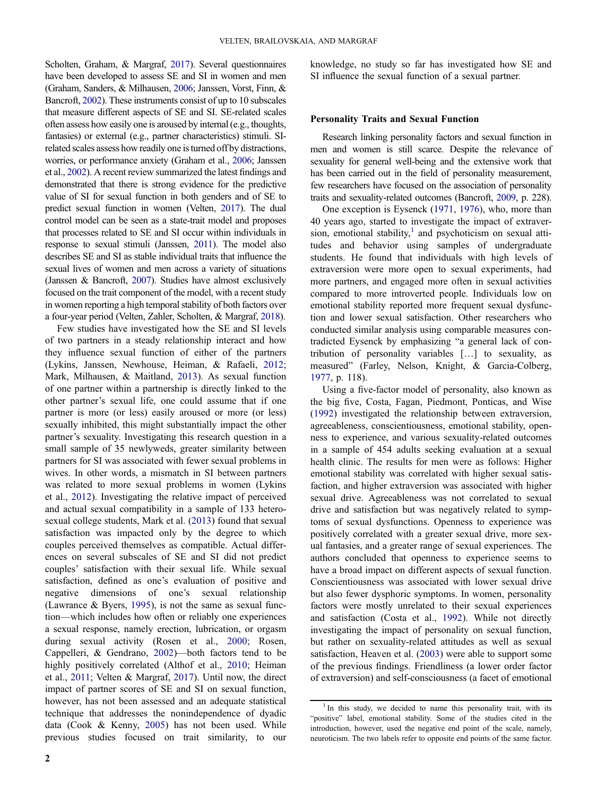<span id="page-2-0"></span>Scholten, Graham, & Margraf, [2017\)](#page-13-0). Several questionnaires have been developed to assess SE and SI in women and men (Graham, Sanders, & Milhausen, [2006;](#page-11-0) Janssen, Vorst, Finn, & Bancroft, [2002](#page-12-0)). These instruments consist of up to 10 subscales that measure different aspects of SE and SI. SE-related scales often assess how easily one is aroused by internal (e.g., thoughts, fantasies) or external (e.g., partner characteristics) stimuli. SIrelated scales assess how readily one is turned off by distractions, worries, or performance anxiety (Graham et al., [2006](#page-11-0); Janssen et al., [2002\)](#page-12-0). A recent review summarized the latest findings and demonstrated that there is strong evidence for the predictive value of SI for sexual function in both genders and of SE to predict sexual function in women (Velten, [2017\)](#page-13-0). The dual control model can be seen as a state-trait model and proposes that processes related to SE and SI occur within individuals in response to sexual stimuli (Janssen, [2011\)](#page-11-0). The model also describes SE and SI as stable individual traits that influence the sexual lives of women and men across a variety of situations (Janssen & Bancroft, [2007](#page-12-0)). Studies have almost exclusively focused on the trait component of the model, with a recent study in women reporting a high temporal stability of both factors over a four-year period (Velten, Zahler, Scholten, & Margraf, [2018\)](#page-13-0).

Few studies have investigated how the SE and SI levels of two partners in a steady relationship interact and how they influence sexual function of either of the partners (Lykins, Janssen, Newhouse, Heiman, & Rafaeli, [2012](#page-12-0); Mark, Milhausen, & Maitland, [2013\)](#page-12-0). As sexual function of one partner within a partnership is directly linked to the other partner's sexual life, one could assume that if one partner is more (or less) easily aroused or more (or less) sexually inhibited, this might substantially impact the other partner's sexuality. Investigating this research question in a small sample of 35 newlyweds, greater similarity between partners for SI was associated with fewer sexual problems in wives. In other words, a mismatch in SI between partners was related to more sexual problems in women (Lykins et al., [2012](#page-12-0)). Investigating the relative impact of perceived and actual sexual compatibility in a sample of 133 heterosexual college students, Mark et al. ([2013\)](#page-12-0) found that sexual satisfaction was impacted only by the degree to which couples perceived themselves as compatible. Actual differences on several subscales of SE and SI did not predict couples' satisfaction with their sexual life. While sexual satisfaction, defined as one's evaluation of positive and negative dimensions of one's sexual relationship (Lawrance & Byers, [1995](#page-12-0)), is not the same as sexual function—which includes how often or reliably one experiences a sexual response, namely erection, lubrication, or orgasm during sexual activity (Rosen et al., [2000;](#page-12-0) Rosen, Cappelleri, & Gendrano, [2002\)](#page-12-0)—both factors tend to be highly positively correlated (Althof et al., [2010;](#page-11-0) Heiman et al., [2011;](#page-11-0) Velten & Margraf, [2017\)](#page-13-0). Until now, the direct impact of partner scores of SE and SI on sexual function, however, has not been assessed and an adequate statistical technique that addresses the nonindependence of dyadic data (Cook & Kenny, [2005](#page-11-0)) has not been used. While previous studies focused on trait similarity, to our

2

knowledge, no study so far has investigated how SE and SI influence the sexual function of a sexual partner.

#### Personality Traits and Sexual Function

Research linking personality factors and sexual function in men and women is still scarce. Despite the relevance of sexuality for general well-being and the extensive work that has been carried out in the field of personality measurement, few researchers have focused on the association of personality traits and sexuality-related outcomes (Bancroft, [2009](#page-11-0), p. 228).

One exception is Eysenck [\(1971](#page-11-0), [1976](#page-11-0)), who, more than 40 years ago, started to investigate the impact of extraversion, emotional stability, $\frac{1}{1}$  and psychoticism on sexual attitudes and behavior using samples of undergraduate students. He found that individuals with high levels of extraversion were more open to sexual experiments, had more partners, and engaged more often in sexual activities compared to more introverted people. Individuals low on emotional stability reported more frequent sexual dysfunction and lower sexual satisfaction. Other researchers who conducted similar analysis using comparable measures contradicted Eysenck by emphasizing "a general lack of contribution of personality variables […] to sexuality, as measured" (Farley, Nelson, Knight, & Garcia-Colberg, [1977,](#page-11-0) p. 118).

Using a five-factor model of personality, also known as the big five, Costa, Fagan, Piedmont, Ponticas, and Wise [\(1992](#page-11-0)) investigated the relationship between extraversion, agreeableness, conscientiousness, emotional stability, openness to experience, and various sexuality-related outcomes in a sample of 454 adults seeking evaluation at a sexual health clinic. The results for men were as follows: Higher emotional stability was correlated with higher sexual satisfaction, and higher extraversion was associated with higher sexual drive. Agreeableness was not correlated to sexual drive and satisfaction but was negatively related to symptoms of sexual dysfunctions. Openness to experience was positively correlated with a greater sexual drive, more sexual fantasies, and a greater range of sexual experiences. The authors concluded that openness to experience seems to have a broad impact on different aspects of sexual function. Conscientiousness was associated with lower sexual drive but also fewer dysphoric symptoms. In women, personality factors were mostly unrelated to their sexual experiences and satisfaction (Costa et al., [1992](#page-11-0)). While not directly investigating the impact of personality on sexual function, but rather on sexuality-related attitudes as well as sexual satisfaction, Heaven et al. ([2003\)](#page-11-0) were able to support some of the previous findings. Friendliness (a lower order factor of extraversion) and self-consciousness (a facet of emotional

<sup>&</sup>lt;sup>1</sup> In this study, we decided to name this personality trait, with its "positive" label, emotional stability. Some of the studies cited in the introduction, however, used the negative end point of the scale, namely, neuroticism. The two labels refer to opposite end points of the same factor.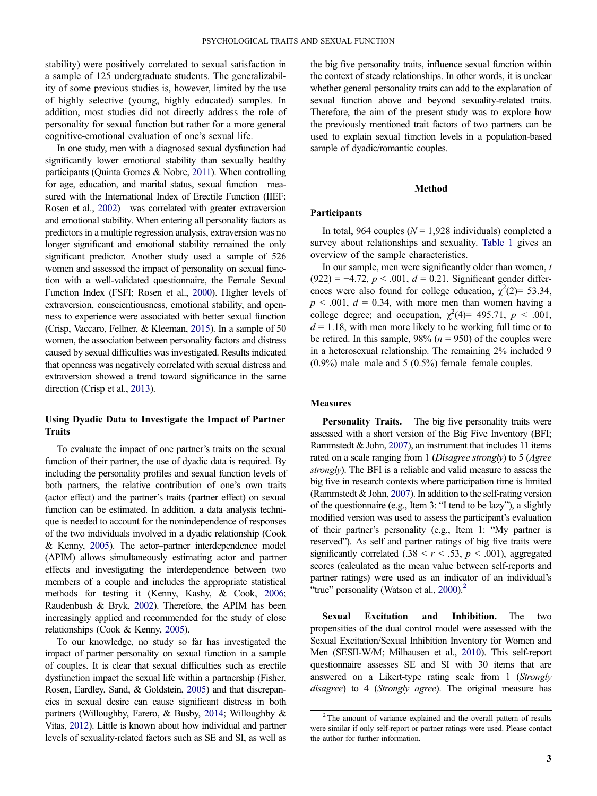<span id="page-3-0"></span>stability) were positively correlated to sexual satisfaction in a sample of 125 undergraduate students. The generalizability of some previous studies is, however, limited by the use of highly selective (young, highly educated) samples. In addition, most studies did not directly address the role of personality for sexual function but rather for a more general cognitive-emotional evaluation of one's sexual life.

In one study, men with a diagnosed sexual dysfunction had significantly lower emotional stability than sexually healthy participants (Quinta Gomes & Nobre, [2011\)](#page-12-0). When controlling for age, education, and marital status, sexual function—measured with the International Index of Erectile Function (IIEF; Rosen et al., [2002\)](#page-12-0)—was correlated with greater extraversion and emotional stability. When entering all personality factors as predictors in a multiple regression analysis, extraversion was no longer significant and emotional stability remained the only significant predictor. Another study used a sample of 526 women and assessed the impact of personality on sexual function with a well-validated questionnaire, the Female Sexual Function Index (FSFI; Rosen et al., [2000\)](#page-12-0). Higher levels of extraversion, conscientiousness, emotional stability, and openness to experience were associated with better sexual function (Crisp, Vaccaro, Fellner, & Kleeman, [2015](#page-11-0)). In a sample of 50 women, the association between personality factors and distress caused by sexual difficulties was investigated. Results indicated that openness was negatively correlated with sexual distress and extraversion showed a trend toward significance in the same direction (Crisp et al., [2013](#page-11-0)).

# Using Dyadic Data to Investigate the Impact of Partner Traits

To evaluate the impact of one partner's traits on the sexual function of their partner, the use of dyadic data is required. By including the personality profiles and sexual function levels of both partners, the relative contribution of one's own traits (actor effect) and the partner's traits (partner effect) on sexual function can be estimated. In addition, a data analysis technique is needed to account for the nonindependence of responses of the two individuals involved in a dyadic relationship (Cook & Kenny, [2005\)](#page-11-0). The actor–partner interdependence model (APIM) allows simultaneously estimating actor and partner effects and investigating the interdependence between two members of a couple and includes the appropriate statistical methods for testing it (Kenny, Kashy, & Cook, [2006](#page-12-0); Raudenbush & Bryk, [2002\)](#page-12-0). Therefore, the APIM has been increasingly applied and recommended for the study of close relationships (Cook & Kenny, [2005\)](#page-11-0).

To our knowledge, no study so far has investigated the impact of partner personality on sexual function in a sample of couples. It is clear that sexual difficulties such as erectile dysfunction impact the sexual life within a partnership (Fisher, Rosen, Eardley, Sand, & Goldstein, [2005](#page-11-0)) and that discrepancies in sexual desire can cause significant distress in both partners (Willoughby, Farero, & Busby, [2014](#page-13-0); Willoughby & Vitas, [2012](#page-13-0)). Little is known about how individual and partner levels of sexuality-related factors such as SE and SI, as well as the big five personality traits, influence sexual function within the context of steady relationships. In other words, it is unclear whether general personality traits can add to the explanation of sexual function above and beyond sexuality-related traits. Therefore, the aim of the present study was to explore how the previously mentioned trait factors of two partners can be used to explain sexual function levels in a population-based sample of dyadic/romantic couples.

#### Method

#### Participants

In total, 964 couples ( $N = 1,928$  individuals) completed a survey about relationships and sexuality. [Table 1](#page-4-0) gives an overview of the sample characteristics.

In our sample, men were significantly older than women,  $t$  $(922) = -4.72$ ,  $p < .001$ ,  $d = 0.21$ . Significant gender differences were also found for college education,  $\chi^2(2)$ = 53.34,  $p < .001$ ,  $d = 0.34$ , with more men than women having a college degree; and occupation,  $\chi^2(4) = 495.71$ ,  $p < .001$ ,  $d = 1.18$ , with men more likely to be working full time or to be retired. In this sample, 98% ( $n = 950$ ) of the couples were in a heterosexual relationship. The remaining 2% included 9 (0.9%) male–male and 5 (0.5%) female–female couples.

# **Measures**

**Personality Traits.** The big five personality traits were assessed with a short version of the Big Five Inventory (BFI; Rammstedt & John, [2007\)](#page-12-0), an instrument that includes 11 items rated on a scale ranging from 1 (Disagree strongly) to 5 (Agree strongly). The BFI is a reliable and valid measure to assess the big five in research contexts where participation time is limited (Rammstedt  $&$  John, [2007](#page-12-0)). In addition to the self-rating version of the questionnaire (e.g., Item 3: "I tend to be lazy"), a slightly modified version was used to assess the participant's evaluation of their partner's personality (e.g., Item 1: "My partner is reserved"). As self and partner ratings of big five traits were significantly correlated  $(.38 \le r \le .53, p \le .001)$ , aggregated scores (calculated as the mean value between self-reports and partner ratings) were used as an indicator of an individual's "true" personality (Watson et al.,  $2000$ ).<sup>2</sup>

Sexual Excitation and Inhibition. The two propensities of the dual control model were assessed with the Sexual Excitation/Sexual Inhibition Inventory for Women and Men (SESII-W/M; Milhausen et al., [2010\)](#page-12-0). This self-report questionnaire assesses SE and SI with 30 items that are answered on a Likert-type rating scale from 1 (Strongly disagree) to 4 (Strongly agree). The original measure has

 $2$ <sup>2</sup> The amount of variance explained and the overall pattern of results were similar if only self-report or partner ratings were used. Please contact the author for further information.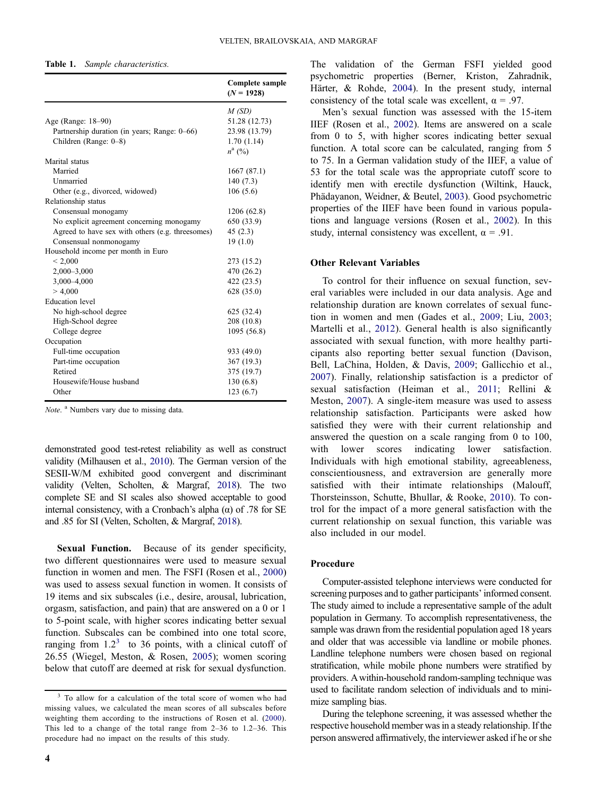#### <span id="page-4-0"></span>Table 1. Sample characteristics.

| M(SD)<br>51.28 (12.73)<br>Age (Range: 18–90)<br>Partnership duration (in years; Range: 0–66)<br>23.98 (13.79)<br>Children (Range: 0-8)<br>1.70(1.14)<br>$n^{\rm a}$ (%)<br>Marital status<br>Married<br>1667(87.1)<br>Unmarried<br>140(7.3)<br>106(5.6)<br>Other (e.g., divorced, widowed)<br>Relationship status<br>Consensual monogamy<br>1206 (62.8)<br>No explicit agreement concerning monogamy<br>650 (33.9)<br>Agreed to have sex with others (e.g. threesomes)<br>45(2.3) |
|-----------------------------------------------------------------------------------------------------------------------------------------------------------------------------------------------------------------------------------------------------------------------------------------------------------------------------------------------------------------------------------------------------------------------------------------------------------------------------------|
|                                                                                                                                                                                                                                                                                                                                                                                                                                                                                   |
|                                                                                                                                                                                                                                                                                                                                                                                                                                                                                   |
|                                                                                                                                                                                                                                                                                                                                                                                                                                                                                   |
|                                                                                                                                                                                                                                                                                                                                                                                                                                                                                   |
|                                                                                                                                                                                                                                                                                                                                                                                                                                                                                   |
|                                                                                                                                                                                                                                                                                                                                                                                                                                                                                   |
|                                                                                                                                                                                                                                                                                                                                                                                                                                                                                   |
|                                                                                                                                                                                                                                                                                                                                                                                                                                                                                   |
|                                                                                                                                                                                                                                                                                                                                                                                                                                                                                   |
|                                                                                                                                                                                                                                                                                                                                                                                                                                                                                   |
|                                                                                                                                                                                                                                                                                                                                                                                                                                                                                   |
|                                                                                                                                                                                                                                                                                                                                                                                                                                                                                   |
|                                                                                                                                                                                                                                                                                                                                                                                                                                                                                   |
| Consensual nonmonogamy<br>19(1.0)                                                                                                                                                                                                                                                                                                                                                                                                                                                 |
| Household income per month in Euro                                                                                                                                                                                                                                                                                                                                                                                                                                                |
| < 2,000<br>273 (15.2)                                                                                                                                                                                                                                                                                                                                                                                                                                                             |
| $2,000 - 3,000$<br>470 (26.2)                                                                                                                                                                                                                                                                                                                                                                                                                                                     |
| 3,000-4,000<br>422 (23.5)                                                                                                                                                                                                                                                                                                                                                                                                                                                         |
| > 4,000<br>628 (35.0)                                                                                                                                                                                                                                                                                                                                                                                                                                                             |
| <b>Education</b> level                                                                                                                                                                                                                                                                                                                                                                                                                                                            |
| No high-school degree<br>625 (32.4)                                                                                                                                                                                                                                                                                                                                                                                                                                               |
| High-School degree<br>208 (10.8)                                                                                                                                                                                                                                                                                                                                                                                                                                                  |
| College degree<br>1095 (56.8)                                                                                                                                                                                                                                                                                                                                                                                                                                                     |
| Occupation                                                                                                                                                                                                                                                                                                                                                                                                                                                                        |
| Full-time occupation<br>933 (49.0)                                                                                                                                                                                                                                                                                                                                                                                                                                                |
| Part-time occupation<br>367 (19.3)                                                                                                                                                                                                                                                                                                                                                                                                                                                |
| Retired<br>375 (19.7)                                                                                                                                                                                                                                                                                                                                                                                                                                                             |
| Housewife/House husband<br>130(6.8)                                                                                                                                                                                                                                                                                                                                                                                                                                               |
| Other<br>123(6.7)                                                                                                                                                                                                                                                                                                                                                                                                                                                                 |

Note. <sup>a</sup> Numbers vary due to missing data.

demonstrated good test-retest reliability as well as construct validity (Milhausen et al., [2010](#page-12-0)). The German version of the SESII-W/M exhibited good convergent and discriminant validity (Velten, Scholten, & Margraf, [2018](#page-13-0)). The two complete SE and SI scales also showed acceptable to good internal consistency, with a Cronbach's alpha  $(\alpha)$  of .78 for SE and .85 for SI (Velten, Scholten, & Margraf, [2018\)](#page-13-0).

Sexual Function. Because of its gender specificity, two different questionnaires were used to measure sexual function in women and men. The FSFI (Rosen et al., [2000\)](#page-12-0) was used to assess sexual function in women. It consists of 19 items and six subscales (i.e., desire, arousal, lubrication, orgasm, satisfaction, and pain) that are answered on a 0 or 1 to 5-point scale, with higher scores indicating better sexual function. Subscales can be combined into one total score, ranging from  $1.2<sup>3</sup>$  to 36 points, with a clinical cutoff of 26.55 (Wiegel, Meston, & Rosen, [2005](#page-13-0)); women scoring below that cutoff are deemed at risk for sexual dysfunction.

The validation of the German FSFI yielded good psychometric properties (Berner, Kriston, Zahradnik, Härter, & Rohde, [2004\)](#page-11-0). In the present study, internal consistency of the total scale was excellent,  $\alpha = .97$ .

Men's sexual function was assessed with the 15-item IIEF (Rosen et al., [2002\)](#page-12-0). Items are answered on a scale from 0 to 5, with higher scores indicating better sexual function. A total score can be calculated, ranging from 5 to 75. In a German validation study of the IIEF, a value of 53 for the total scale was the appropriate cutoff score to identify men with erectile dysfunction (Wiltink, Hauck, Phädayanon, Weidner, & Beutel, [2003](#page-13-0)). Good psychometric properties of the IIEF have been found in various populations and language versions (Rosen et al., [2002](#page-12-0)). In this study, internal consistency was excellent,  $\alpha = .91$ .

#### Other Relevant Variables

To control for their influence on sexual function, several variables were included in our data analysis. Age and relationship duration are known correlates of sexual function in women and men (Gades et al., [2009;](#page-11-0) Liu, [2003](#page-12-0); Martelli et al., [2012](#page-12-0)). General health is also significantly associated with sexual function, with more healthy participants also reporting better sexual function (Davison, Bell, LaChina, Holden, & Davis, [2009](#page-11-0); Gallicchio et al., [2007](#page-11-0)). Finally, relationship satisfaction is a predictor of sexual satisfaction (Heiman et al., [2011](#page-11-0); Rellini & Meston, [2007](#page-12-0)). A single-item measure was used to assess relationship satisfaction. Participants were asked how satisfied they were with their current relationship and answered the question on a scale ranging from 0 to 100, with lower scores indicating lower satisfaction. Individuals with high emotional stability, agreeableness, conscientiousness, and extraversion are generally more satisfied with their intimate relationships (Malouff, Thorsteinsson, Schutte, Bhullar, & Rooke, [2010\)](#page-12-0). To control for the impact of a more general satisfaction with the current relationship on sexual function, this variable was also included in our model.

# Procedure

Computer-assisted telephone interviews were conducted for screening purposes and to gather participants' informed consent. The study aimed to include a representative sample of the adult population in Germany. To accomplish representativeness, the sample was drawn from the residential population aged 18 years and older that was accessible via landline or mobile phones. Landline telephone numbers were chosen based on regional stratification, while mobile phone numbers were stratified by providers. A within-household random-sampling technique was used to facilitate random selection of individuals and to minimize sampling bias.

During the telephone screening, it was assessed whether the respective household member was in a steady relationship. If the person answered affirmatively, the interviewer asked if he or she

<sup>3</sup> To allow for a calculation of the total score of women who had missing values, we calculated the mean scores of all subscales before weighting them according to the instructions of Rosen et al. ([2000](#page-12-0)). This led to a change of the total range from 2–36 to 1.2–36. This procedure had no impact on the results of this study.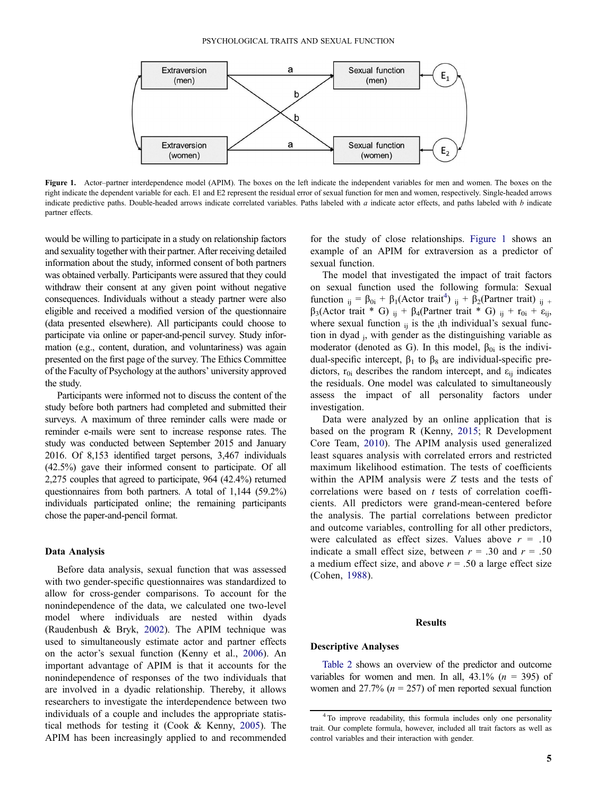<span id="page-5-0"></span>

Figure 1. Actor–partner interdependence model (APIM). The boxes on the left indicate the independent variables for men and women. The boxes on the right indicate the dependent variable for each. E1 and E2 represent the residual error of sexual function for men and women, respectively. Single-headed arrows indicate predictive paths. Double-headed arrows indicate correlated variables. Paths labeled with a indicate actor effects, and paths labeled with b indicate partner effects.

would be willing to participate in a study on relationship factors and sexuality together with their partner. After receiving detailed information about the study, informed consent of both partners was obtained verbally. Participants were assured that they could withdraw their consent at any given point without negative consequences. Individuals without a steady partner were also eligible and received a modified version of the questionnaire (data presented elsewhere). All participants could choose to participate via online or paper-and-pencil survey. Study information (e.g., content, duration, and voluntariness) was again presented on the first page of the survey. The Ethics Committee of the Faculty of Psychology at the authors' university approved the study.

Participants were informed not to discuss the content of the study before both partners had completed and submitted their surveys. A maximum of three reminder calls were made or reminder e-mails were sent to increase response rates. The study was conducted between September 2015 and January 2016. Of 8,153 identified target persons, 3,467 individuals (42.5%) gave their informed consent to participate. Of all 2,275 couples that agreed to participate, 964 (42.4%) returned questionnaires from both partners. A total of 1,144 (59.2%) individuals participated online; the remaining participants chose the paper-and-pencil format.

#### Data Analysis

Before data analysis, sexual function that was assessed with two gender-specific questionnaires was standardized to allow for cross-gender comparisons. To account for the nonindependence of the data, we calculated one two-level model where individuals are nested within dyads (Raudenbush & Bryk, [2002\)](#page-12-0). The APIM technique was used to simultaneously estimate actor and partner effects on the actor's sexual function (Kenny et al., [2006\)](#page-12-0). An important advantage of APIM is that it accounts for the nonindependence of responses of the two individuals that are involved in a dyadic relationship. Thereby, it allows researchers to investigate the interdependence between two individuals of a couple and includes the appropriate statistical methods for testing it (Cook & Kenny, [2005\)](#page-11-0). The APIM has been increasingly applied to and recommended

for the study of close relationships. Figure 1 shows an example of an APIM for extraversion as a predictor of sexual function.

The model that investigated the impact of trait factors on sexual function used the following formula: Sexual function  $_{ij} = \beta_{0i} + \beta_1 ($ Actor trait<sup>4</sup>)  $_{ij} + \beta_2 ($ Partner trait)  $_{ij}$  +  $β<sub>3</sub>(Action trait * G) <sub>ii</sub> + β<sub>4</sub>(Partner trait * G) <sub>ij</sub> + r<sub>0i</sub> + ε<sub>ij</sub>$ where sexual function  $_{ii}$  is the  $_i$ th individual's sexual function in dyad j, with gender as the distinguishing variable as moderator (denoted as G). In this model,  $\beta_{0i}$  is the individual-specific intercept,  $β_1$  to  $β_8$  are individual-specific predictors,  $r_{0i}$  describes the random intercept, and  $\varepsilon_{ii}$  indicates the residuals. One model was calculated to simultaneously assess the impact of all personality factors under investigation.

Data were analyzed by an online application that is based on the program R (Kenny, [2015;](#page-12-0) R Development Core Team, [2010\)](#page-12-0). The APIM analysis used generalized least squares analysis with correlated errors and restricted maximum likelihood estimation. The tests of coefficients within the APIM analysis were Z tests and the tests of correlations were based on t tests of correlation coefficients. All predictors were grand-mean-centered before the analysis. The partial correlations between predictor and outcome variables, controlling for all other predictors, were calculated as effect sizes. Values above  $r = .10$ indicate a small effect size, between  $r = .30$  and  $r = .50$ a medium effect size, and above  $r = .50$  a large effect size (Cohen, [1988](#page-11-0)).

#### Results

#### Descriptive Analyses

[Table 2](#page-6-0) shows an overview of the predictor and outcome variables for women and men. In all,  $43.1\%$  ( $n = 395$ ) of women and 27.7% ( $n = 257$ ) of men reported sexual function

<sup>&</sup>lt;sup>4</sup> To improve readability, this formula includes only one personality trait. Our complete formula, however, included all trait factors as well as control variables and their interaction with gender.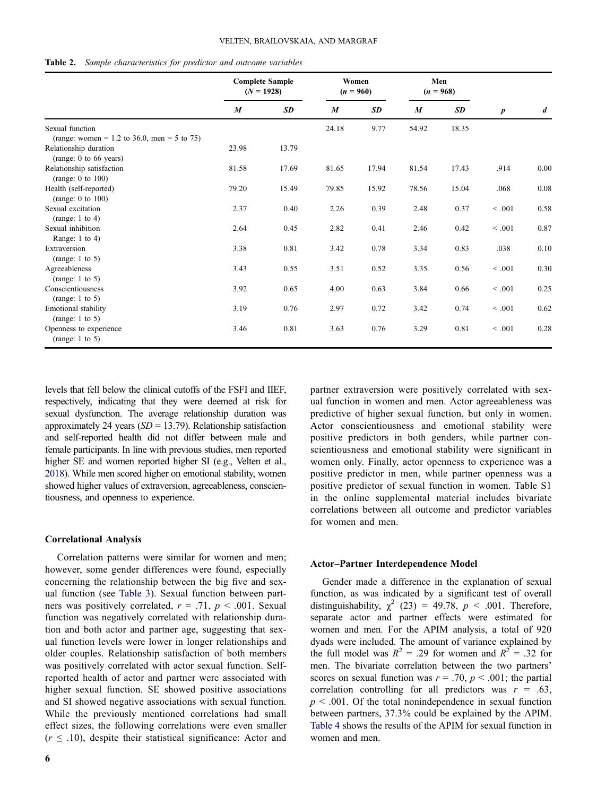<span id="page-6-0"></span>

|  |  | <b>Table 2.</b> Sample characteristics for predictor and outcome variables |  |  |  |  |  |
|--|--|----------------------------------------------------------------------------|--|--|--|--|--|
|--|--|----------------------------------------------------------------------------|--|--|--|--|--|

|                                                     | <b>Complete Sample</b><br>$(N = 1928)$ |           | Women<br>$(n = 960)$ |       | Men<br>$(n = 968)$ |       |                  |                  |
|-----------------------------------------------------|----------------------------------------|-----------|----------------------|-------|--------------------|-------|------------------|------------------|
|                                                     | $\boldsymbol{M}$                       | <b>SD</b> | $\boldsymbol{M}$     | SD    | $\boldsymbol{M}$   | SD    | $\boldsymbol{p}$ | $\boldsymbol{d}$ |
| Sexual function                                     |                                        |           | 24.18                | 9.77  | 54.92              | 18.35 |                  |                  |
| (range: women = 1.2 to 36.0, men = 5 to 75)         |                                        |           |                      |       |                    |       |                  |                  |
| Relationship duration<br>(range: 0 to 66 years)     | 23.98                                  | 13.79     |                      |       |                    |       |                  |                  |
| Relationship satisfaction<br>(range: $0$ to $100$ ) | 81.58                                  | 17.69     | 81.65                | 17.94 | 81.54              | 17.43 | .914             | 0.00             |
| Health (self-reported)<br>(range: $0$ to $100$ )    | 79.20                                  | 15.49     | 79.85                | 15.92 | 78.56              | 15.04 | .068             | 0.08             |
| Sexual excitation<br>(range: $1$ to $4$ )           | 2.37                                   | 0.40      | 2.26                 | 0.39  | 2.48               | 0.37  | < .001           | 0.58             |
| Sexual inhibition<br>Range: $1$ to $4$ )            | 2.64                                   | 0.45      | 2.82                 | 0.41  | 2.46               | 0.42  | < .001           | 0.87             |
| Extraversion<br>(range: $1$ to $5$ )                | 3.38                                   | 0.81      | 3.42                 | 0.78  | 3.34               | 0.83  | .038             | 0.10             |
| Agreeableness<br>(range: $1$ to $5$ )               | 3.43                                   | 0.55      | 3.51                 | 0.52  | 3.35               | 0.56  | < .001           | 0.30             |
| Conscientiousness<br>(range: $1$ to $5$ )           | 3.92                                   | 0.65      | 4.00                 | 0.63  | 3.84               | 0.66  | < .001           | 0.25             |
| Emotional stability<br>(range: $1$ to $5$ )         | 3.19                                   | 0.76      | 2.97                 | 0.72  | 3.42               | 0.74  | < 0.001          | 0.62             |
| Openness to experience<br>(range: $1$ to $5$ )      | 3.46                                   | 0.81      | 3.63                 | 0.76  | 3.29               | 0.81  | < 0.001          | 0.28             |

levels that fell below the clinical cutoffs of the FSFI and IIEF, respectively, indicating that they were deemed at risk for sexual dysfunction. The average relationship duration was approximately 24 years ( $SD = 13.79$ ). Relationship satisfaction and self-reported health did not differ between male and female participants. In line with previous studies, men reported higher SE and women reported higher SI (e.g., Velten et al., [2018](#page-13-0)). While men scored higher on emotional stability, women showed higher values of extraversion, agreeableness, conscientiousness, and openness to experience.

#### Correlational Analysis

Correlation patterns were similar for women and men; however, some gender differences were found, especially concerning the relationship between the big five and sexual function (see [Table 3\)](#page-7-0). Sexual function between partners was positively correlated,  $r = .71$ ,  $p < .001$ . Sexual function was negatively correlated with relationship duration and both actor and partner age, suggesting that sexual function levels were lower in longer relationships and older couples. Relationship satisfaction of both members was positively correlated with actor sexual function. Selfreported health of actor and partner were associated with higher sexual function. SE showed positive associations and SI showed negative associations with sexual function. While the previously mentioned correlations had small effect sizes, the following correlations were even smaller  $(r \leq .10)$ , despite their statistical significance: Actor and

6

partner extraversion were positively correlated with sexual function in women and men. Actor agreeableness was predictive of higher sexual function, but only in women. Actor conscientiousness and emotional stability were positive predictors in both genders, while partner conscientiousness and emotional stability were significant in women only. Finally, actor openness to experience was a positive predictor in men, while partner openness was a positive predictor of sexual function in women. Table S1 in the online supplemental material includes bivariate correlations between all outcome and predictor variables for women and men.

#### Actor–Partner Interdependence Model

Gender made a difference in the explanation of sexual function, as was indicated by a significant test of overall distinguishability,  $\chi^2$  (23) = 49.78,  $p < .001$ . Therefore, separate actor and partner effects were estimated for women and men. For the APIM analysis, a total of 920 dyads were included. The amount of variance explained by the full model was  $R^2 = .29$  for women and  $R^2 = .32$  for men. The bivariate correlation between the two partners' scores on sexual function was  $r = .70$ ,  $p < .001$ ; the partial correlation controlling for all predictors was  $r = .63$ ,  $p < .001$ . Of the total nonindependence in sexual function between partners, 37.3% could be explained by the APIM. [Table 4](#page-8-0) shows the results of the APIM for sexual function in women and men.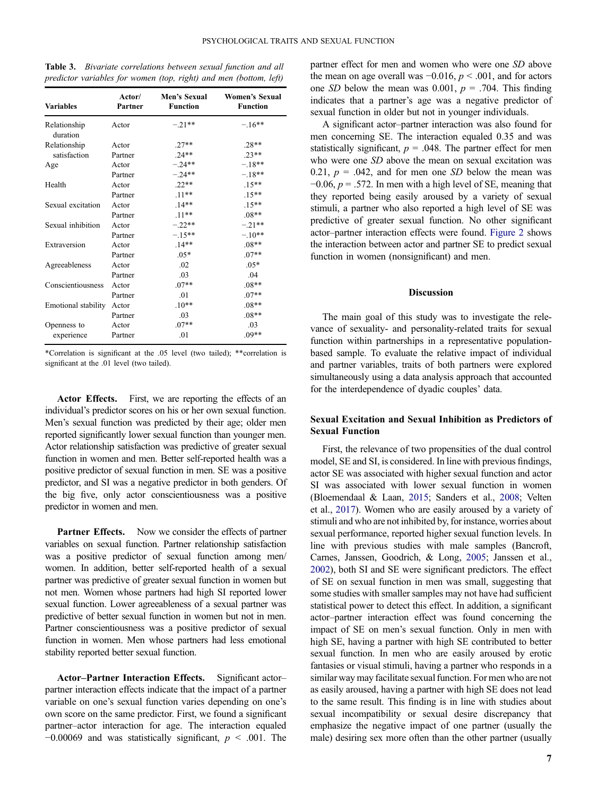| <b>Variables</b>         | Actor/<br>Partner | Men's Sexual<br><b>Function</b> | <b>Women's Sexual</b><br><b>Function</b> |  |  |  |
|--------------------------|-------------------|---------------------------------|------------------------------------------|--|--|--|
| Relationship<br>duration | Actor             | $-.21**$                        | $-.16**$                                 |  |  |  |
| Relationship             | Actor             | $.27**$                         | $.28**$                                  |  |  |  |
| satisfaction             | Partner           | $.24**$                         | $.23**$                                  |  |  |  |
| Age                      | Actor             | $-.24**$                        | $-.18**$                                 |  |  |  |
|                          | Partner           | $-.24**$                        | $-.18**$                                 |  |  |  |
| Health                   | Actor             | $.22**$                         | $.15***$                                 |  |  |  |
|                          | Partner           | $.11**$                         | $.15***$                                 |  |  |  |
| Sexual excitation        | Actor             | $.14**$                         | $.15***$                                 |  |  |  |
|                          | Partner           | $.11**$                         | $.08**$                                  |  |  |  |
| Sexual inhibition        | Actor             | $-.22**$                        | $-.21**$                                 |  |  |  |
|                          | Partner           | $-.15**$                        | $-.10**$                                 |  |  |  |
| Extraversion             | Actor             | $.14**$                         | $.08**$                                  |  |  |  |
|                          | Partner           | $.05*$                          | $.07**$                                  |  |  |  |
| Agreeableness            | Actor             | .02                             | $.05*$                                   |  |  |  |
|                          | Partner           | .03                             | .04                                      |  |  |  |
| Conscientiousness        | Actor             | $.07**$                         | $.08**$                                  |  |  |  |
|                          | Partner           | .01                             | $.07**$                                  |  |  |  |
| Emotional stability      | Actor             | $.10**$                         | $.08**$                                  |  |  |  |
|                          | Partner           | .03                             | $.08**$                                  |  |  |  |
| Openness to              | Actor             | $.07**$                         | .03                                      |  |  |  |
| experience               | Partner           | .01                             | $.09**$                                  |  |  |  |

<span id="page-7-0"></span>Table 3. Bivariate correlations between sexual function and all predictor variables for women (top, right) and men (bottom, left)

\*Correlation is significant at the .05 level (two tailed); \*\*correlation is significant at the .01 level (two tailed).

Actor Effects. First, we are reporting the effects of an individual's predictor scores on his or her own sexual function. Men's sexual function was predicted by their age; older men reported significantly lower sexual function than younger men. Actor relationship satisfaction was predictive of greater sexual function in women and men. Better self-reported health was a positive predictor of sexual function in men. SE was a positive predictor, and SI was a negative predictor in both genders. Of the big five, only actor conscientiousness was a positive predictor in women and men.

**Partner Effects.** Now we consider the effects of partner variables on sexual function. Partner relationship satisfaction was a positive predictor of sexual function among men/ women. In addition, better self-reported health of a sexual partner was predictive of greater sexual function in women but not men. Women whose partners had high SI reported lower sexual function. Lower agreeableness of a sexual partner was predictive of better sexual function in women but not in men. Partner conscientiousness was a positive predictor of sexual function in women. Men whose partners had less emotional stability reported better sexual function.

Actor–Partner Interaction Effects. Significant actor– partner interaction effects indicate that the impact of a partner variable on one's sexual function varies depending on one's own score on the same predictor. First, we found a significant partner–actor interaction for age. The interaction equaled  $-0.00069$  and was statistically significant,  $p \leq .001$ . The

partner effect for men and women who were one SD above the mean on age overall was  $-0.016$ ,  $p < .001$ , and for actors one SD below the mean was 0.001,  $p = .704$ . This finding indicates that a partner's age was a negative predictor of sexual function in older but not in younger individuals.

A significant actor–partner interaction was also found for men concerning SE. The interaction equaled 0.35 and was statistically significant,  $p = .048$ . The partner effect for men who were one SD above the mean on sexual excitation was 0.21,  $p = .042$ , and for men one SD below the mean was  $-0.06$ ,  $p = .572$ . In men with a high level of SE, meaning that they reported being easily aroused by a variety of sexual stimuli, a partner who also reported a high level of SE was predictive of greater sexual function. No other significant actor–partner interaction effects were found. [Figure 2](#page-8-0) shows the interaction between actor and partner SE to predict sexual function in women (nonsignificant) and men.

# Discussion

The main goal of this study was to investigate the relevance of sexuality- and personality-related traits for sexual function within partnerships in a representative populationbased sample. To evaluate the relative impact of individual and partner variables, traits of both partners were explored simultaneously using a data analysis approach that accounted for the interdependence of dyadic couples' data.

# Sexual Excitation and Sexual Inhibition as Predictors of Sexual Function

First, the relevance of two propensities of the dual control model, SE and SI, is considered. In line with previous findings, actor SE was associated with higher sexual function and actor SI was associated with lower sexual function in women (Bloemendaal & Laan, [2015](#page-11-0); Sanders et al., [2008;](#page-12-0) Velten et al., [2017\)](#page-13-0). Women who are easily aroused by a variety of stimuli and who are not inhibited by, for instance, worries about sexual performance, reported higher sexual function levels. In line with previous studies with male samples (Bancroft, Carnes, Janssen, Goodrich, & Long, [2005;](#page-11-0) Janssen et al., [2002](#page-12-0)), both SI and SE were significant predictors. The effect of SE on sexual function in men was small, suggesting that some studies with smaller samples may not have had sufficient statistical power to detect this effect. In addition, a significant actor–partner interaction effect was found concerning the impact of SE on men's sexual function. Only in men with high SE, having a partner with high SE contributed to better sexual function. In men who are easily aroused by erotic fantasies or visual stimuli, having a partner who responds in a similar way may facilitate sexual function. For men who are not as easily aroused, having a partner with high SE does not lead to the same result. This finding is in line with studies about sexual incompatibility or sexual desire discrepancy that emphasize the negative impact of one partner (usually the male) desiring sex more often than the other partner (usually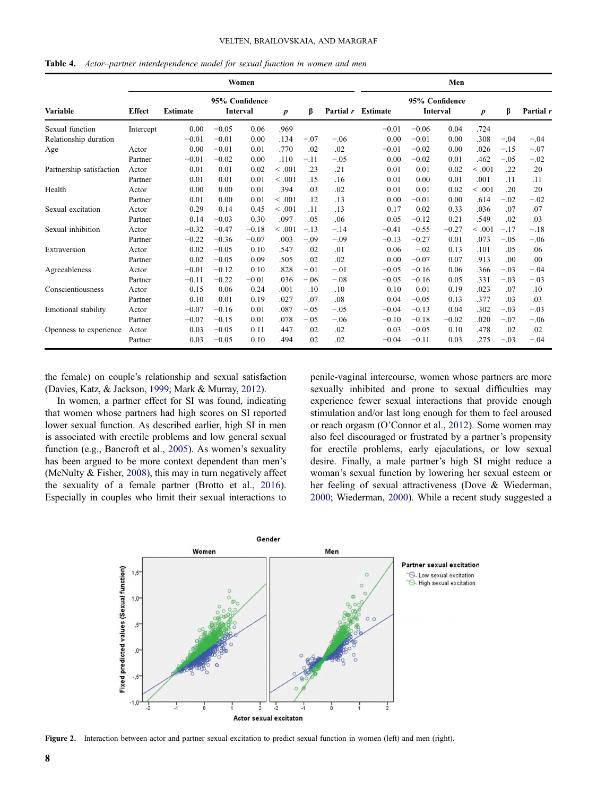#### VELTEN, BRAILOVSKAIA, AND MARGRAF

<span id="page-8-0"></span>

|                            |               |                 | Men     |                                   |                  |        |           |                 |         |                            |                  |        |           |
|----------------------------|---------------|-----------------|---------|-----------------------------------|------------------|--------|-----------|-----------------|---------|----------------------------|------------------|--------|-----------|
| Variable                   | <b>Effect</b> | <b>Estimate</b> |         | 95% Confidence<br><b>Interval</b> | $\boldsymbol{p}$ | ß      | Partial r | <b>Estimate</b> |         | 95% Confidence<br>Interval | $\boldsymbol{p}$ | β      | Partial r |
| Sexual function            | Intercept     | 0.00            | $-0.05$ | 0.06                              | .969             |        |           | $-0.01$         | $-0.06$ | 0.04                       | .724             |        |           |
| Relationship duration      |               | $-0.01$         | $-0.01$ | 0.00                              | .134             | $-.07$ | $-.06$    | 0.00            | $-0.01$ | 0.00                       | .308             | $-.04$ | $-.04$    |
| Age                        | Actor         | 0.00            | $-0.01$ | 0.01                              | .770             | .02    | .02       | $-0.01$         | $-0.02$ | 0.00                       | .026             | $-.15$ | $-.07$    |
|                            | Partner       | $-0.01$         | $-0.02$ | 0.00                              | .110             | $-.11$ | $-.05$    | 0.00            | $-0.02$ | 0.01                       | .462             | $-.05$ | $-.02$    |
| Partnership satisfaction   | Actor         | 0.01            | 0.01    | 0.02                              | < 0.001          | .23    | .21       | 0.01            | 0.01    | 0.02                       | $\leq .001$      | .22    | .20       |
|                            | Partner       | 0.01            | 0.01    | 0.01                              | < 0.001          | .15    | .16       | 0.01            | 0.00    | 0.01                       | .001             | .11    | .11       |
| Health                     | Actor         | 0.00            | 0.00    | 0.01                              | .394             | .03    | .02       | 0.01            | 0.01    | 0.02                       | < 0.001          | .20    | .20       |
|                            | Partner       | 0.01            | 0.00    | 0.01                              | < 0.001          | .12    | .13       | 0.00            | $-0.01$ | 0.00                       | .614             | $-.02$ | $-.02$    |
| Sexual excitation          | Actor         | 0.29            | 0.14    | 0.45                              | < .001           | .11    | .13       | 0.17            | 0.02    | 0.33                       | .036             | .07    | .07       |
|                            | Partner       | 0.14            | $-0.03$ | 0.30                              | .097             | .05    | .06       | 0.05            | $-0.12$ | 0.21                       | .549             | .02    | .03       |
| Sexual inhibition          | Actor         | $-0.32$         | $-0.47$ | $-0.18$                           | < 0.001          | $-.13$ | $-.14$    | $-0.41$         | $-0.55$ | $-0.27$                    | < 0.001          | $-.17$ | $-.18$    |
|                            | Partner       | $-0.22$         | $-0.36$ | $-0.07$                           | .003             | $-.09$ | $-.09$    | $-0.13$         | $-0.27$ | 0.01                       | .073             | $-.05$ | $-.06$    |
| Extraversion               | Actor         | 0.02            | $-0.05$ | 0.10                              | .547             | .02    | .01       | 0.06            | $-.02$  | 0.13                       | .101             | .05    | .06       |
|                            | Partner       | 0.02            | $-0.05$ | 0.09                              | .505             | .02    | .02       | 0.00            | $-0.07$ | 0.07                       | .913             | .00    | .00       |
| Agreeableness              | Actor         | $-0.01$         | $-0.12$ | 0.10                              | .828             | $-.01$ | $-.01$    | $-0.05$         | $-0.16$ | 0.06                       | .366             | $-.03$ | $-.04$    |
|                            | Partner       | $-0.11$         | $-0.22$ | $-0.01$                           | .036             | $-.06$ | $-.08$    | $-0.05$         | $-0.16$ | 0.05                       | .331             | $-.03$ | $-.03$    |
| Conscientiousness          | Actor         | 0.15            | 0.06    | 0.24                              | .001             | .10    | .10       | 0.10            | 0.01    | 0.19                       | .023             | .07    | .10       |
|                            | Partner       | 0.10            | 0.01    | 0.19                              | .027             | .07    | .08       | 0.04            | $-0.05$ | 0.13                       | .377             | .03    | .03       |
| <b>Emotional stability</b> | Actor         | $-0.07$         | $-0.16$ | 0.01                              | .087             | $-.05$ | $-.05$    | $-0.04$         | $-0.13$ | 0.04                       | .302             | $-.03$ | $-.03$    |
|                            | Partner       | $-0.07$         | $-0.15$ | 0.01                              | .078             | $-.05$ | $-.06$    | $-0.10$         | $-0.18$ | $-0.02$                    | .020             | $-.07$ | $-.06$    |
| Openness to experience     | Actor         | 0.03            | $-0.05$ | 0.11                              | .447             | .02    | .02       | 0.03            | $-0.05$ | 0.10                       | .478             | .02    | .02       |
|                            | Partner       | 0.03            | $-0.05$ | 0.10                              | .494             | .02    | .02       | $-0.04$         | $-0.11$ | 0.03                       | .275             | $-.03$ | $-.04$    |

the female) on couple's relationship and sexual satisfaction (Davies, Katz, & Jackson, [1999](#page-11-0); Mark & Murray, [2012\)](#page-12-0).

In women, a partner effect for SI was found, indicating that women whose partners had high scores on SI reported lower sexual function. As described earlier, high SI in men is associated with erectile problems and low general sexual function (e.g., Bancroft et al., [2005](#page-11-0)). As women's sexuality has been argued to be more context dependent than men's (McNulty & Fisher, [2008\)](#page-12-0), this may in turn negatively affect the sexuality of a female partner (Brotto et al., [2016](#page-11-0)). Especially in couples who limit their sexual interactions to penile-vaginal intercourse, women whose partners are more sexually inhibited and prone to sexual difficulties may experience fewer sexual interactions that provide enough stimulation and/or last long enough for them to feel aroused or reach orgasm (O'Connor et al., [2012](#page-12-0)). Some women may also feel discouraged or frustrated by a partner's propensity for erectile problems, early ejaculations, or low sexual desire. Finally, a male partner's high SI might reduce a woman's sexual function by lowering her sexual esteem or her feeling of sexual attractiveness (Dove & Wiederman, [2000;](#page-11-0) Wiederman, [2000](#page-13-0)). While a recent study suggested a



Figure 2. Interaction between actor and partner sexual excitation to predict sexual function in women (left) and men (right).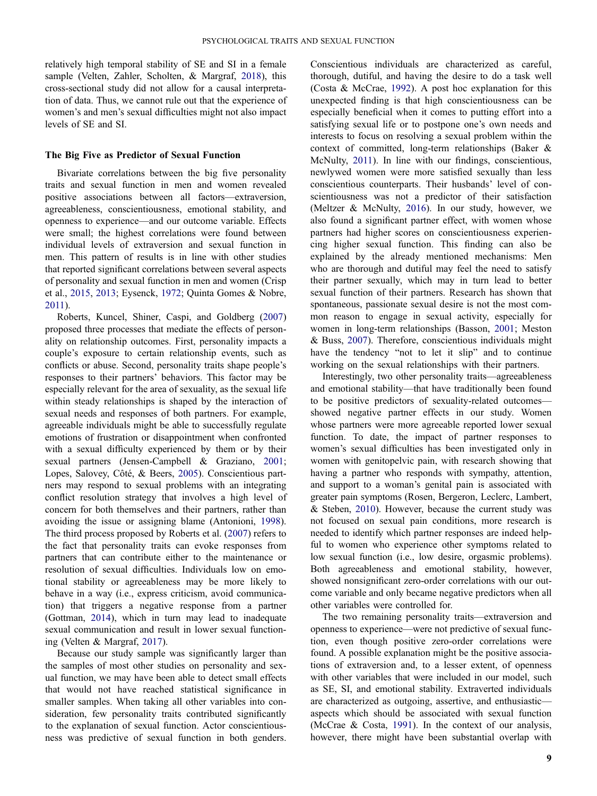<span id="page-9-0"></span>relatively high temporal stability of SE and SI in a female sample (Velten, Zahler, Scholten, & Margraf, [2018](#page-13-0)), this cross-sectional study did not allow for a causal interpretation of data. Thus, we cannot rule out that the experience of women's and men's sexual difficulties might not also impact levels of SE and SI.

#### The Big Five as Predictor of Sexual Function

Bivariate correlations between the big five personality traits and sexual function in men and women revealed positive associations between all factors—extraversion, agreeableness, conscientiousness, emotional stability, and openness to experience—and our outcome variable. Effects were small; the highest correlations were found between individual levels of extraversion and sexual function in men. This pattern of results is in line with other studies that reported significant correlations between several aspects of personality and sexual function in men and women (Crisp et al., [2015,](#page-11-0) [2013](#page-11-0); Eysenck, [1972](#page-11-0); Quinta Gomes & Nobre, [2011](#page-12-0)).

Roberts, Kuncel, Shiner, Caspi, and Goldberg ([2007\)](#page-12-0) proposed three processes that mediate the effects of personality on relationship outcomes. First, personality impacts a couple's exposure to certain relationship events, such as conflicts or abuse. Second, personality traits shape people's responses to their partners' behaviors. This factor may be especially relevant for the area of sexuality, as the sexual life within steady relationships is shaped by the interaction of sexual needs and responses of both partners. For example, agreeable individuals might be able to successfully regulate emotions of frustration or disappointment when confronted with a sexual difficulty experienced by them or by their sexual partners (Jensen-Campbell & Graziano, [2001](#page-12-0); Lopes, Salovey, Côté, & Beers, [2005](#page-12-0)). Conscientious partners may respond to sexual problems with an integrating conflict resolution strategy that involves a high level of concern for both themselves and their partners, rather than avoiding the issue or assigning blame (Antonioni, [1998](#page-11-0)). The third process proposed by Roberts et al. ([2007\)](#page-12-0) refers to the fact that personality traits can evoke responses from partners that can contribute either to the maintenance or resolution of sexual difficulties. Individuals low on emotional stability or agreeableness may be more likely to behave in a way (i.e., express criticism, avoid communication) that triggers a negative response from a partner (Gottman, [2014](#page-11-0)), which in turn may lead to inadequate sexual communication and result in lower sexual functioning (Velten & Margraf, [2017](#page-13-0)).

Because our study sample was significantly larger than the samples of most other studies on personality and sexual function, we may have been able to detect small effects that would not have reached statistical significance in smaller samples. When taking all other variables into consideration, few personality traits contributed significantly to the explanation of sexual function. Actor conscientiousness was predictive of sexual function in both genders.

Conscientious individuals are characterized as careful, thorough, dutiful, and having the desire to do a task well (Costa & McCrae, [1992\)](#page-11-0). A post hoc explanation for this unexpected finding is that high conscientiousness can be especially beneficial when it comes to putting effort into a satisfying sexual life or to postpone one's own needs and interests to focus on resolving a sexual problem within the context of committed, long-term relationships (Baker & McNulty, [2011\)](#page-11-0). In line with our findings, conscientious, newlywed women were more satisfied sexually than less conscientious counterparts. Their husbands' level of conscientiousness was not a predictor of their satisfaction (Meltzer & McNulty, [2016](#page-12-0)). In our study, however, we also found a significant partner effect, with women whose partners had higher scores on conscientiousness experiencing higher sexual function. This finding can also be explained by the already mentioned mechanisms: Men who are thorough and dutiful may feel the need to satisfy their partner sexually, which may in turn lead to better sexual function of their partners. Research has shown that spontaneous, passionate sexual desire is not the most common reason to engage in sexual activity, especially for women in long-term relationships (Basson, [2001](#page-11-0); Meston & Buss, [2007\)](#page-12-0). Therefore, conscientious individuals might have the tendency "not to let it slip" and to continue working on the sexual relationships with their partners.

Interestingly, two other personality traits—agreeableness and emotional stability—that have traditionally been found to be positive predictors of sexuality-related outcomes showed negative partner effects in our study. Women whose partners were more agreeable reported lower sexual function. To date, the impact of partner responses to women's sexual difficulties has been investigated only in women with genitopelvic pain, with research showing that having a partner who responds with sympathy, attention, and support to a woman's genital pain is associated with greater pain symptoms (Rosen, Bergeron, Leclerc, Lambert, & Steben, [2010\)](#page-12-0). However, because the current study was not focused on sexual pain conditions, more research is needed to identify which partner responses are indeed helpful to women who experience other symptoms related to low sexual function (i.e., low desire, orgasmic problems). Both agreeableness and emotional stability, however, showed nonsignificant zero-order correlations with our outcome variable and only became negative predictors when all other variables were controlled for.

The two remaining personality traits—extraversion and openness to experience—were not predictive of sexual function, even though positive zero-order correlations were found. A possible explanation might be the positive associations of extraversion and, to a lesser extent, of openness with other variables that were included in our model, such as SE, SI, and emotional stability. Extraverted individuals are characterized as outgoing, assertive, and enthusiastic aspects which should be associated with sexual function (McCrae & Costa, [1991](#page-12-0)). In the context of our analysis, however, there might have been substantial overlap with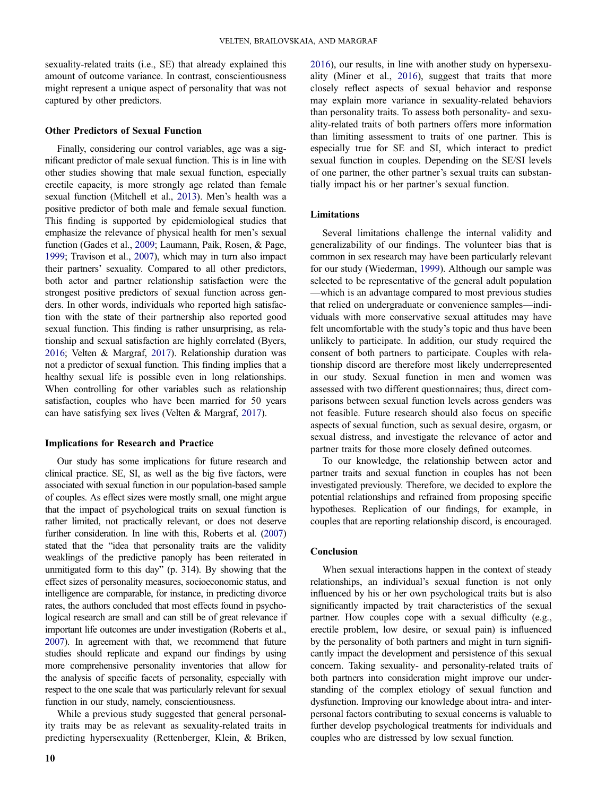<span id="page-10-0"></span>sexuality-related traits (i.e., SE) that already explained this amount of outcome variance. In contrast, conscientiousness might represent a unique aspect of personality that was not captured by other predictors.

#### Other Predictors of Sexual Function

Finally, considering our control variables, age was a significant predictor of male sexual function. This is in line with other studies showing that male sexual function, especially erectile capacity, is more strongly age related than female sexual function (Mitchell et al., [2013\)](#page-12-0). Men's health was a positive predictor of both male and female sexual function. This finding is supported by epidemiological studies that emphasize the relevance of physical health for men's sexual function (Gades et al., [2009;](#page-11-0) Laumann, Paik, Rosen, & Page, [1999](#page-12-0); Travison et al., [2007](#page-13-0)), which may in turn also impact their partners' sexuality. Compared to all other predictors, both actor and partner relationship satisfaction were the strongest positive predictors of sexual function across genders. In other words, individuals who reported high satisfaction with the state of their partnership also reported good sexual function. This finding is rather unsurprising, as relationship and sexual satisfaction are highly correlated (Byers, [2016](#page-11-0); Velten & Margraf, [2017](#page-13-0)). Relationship duration was not a predictor of sexual function. This finding implies that a healthy sexual life is possible even in long relationships. When controlling for other variables such as relationship satisfaction, couples who have been married for 50 years can have satisfying sex lives (Velten & Margraf, [2017](#page-13-0)).

#### Implications for Research and Practice

Our study has some implications for future research and clinical practice. SE, SI, as well as the big five factors, were associated with sexual function in our population-based sample of couples. As effect sizes were mostly small, one might argue that the impact of psychological traits on sexual function is rather limited, not practically relevant, or does not deserve further consideration. In line with this, Roberts et al. ([2007\)](#page-12-0) stated that the "idea that personality traits are the validity weaklings of the predictive panoply has been reiterated in unmitigated form to this day" (p. 314). By showing that the effect sizes of personality measures, socioeconomic status, and intelligence are comparable, for instance, in predicting divorce rates, the authors concluded that most effects found in psychological research are small and can still be of great relevance if important life outcomes are under investigation (Roberts et al., [2007](#page-12-0)). In agreement with that, we recommend that future studies should replicate and expand our findings by using more comprehensive personality inventories that allow for the analysis of specific facets of personality, especially with respect to the one scale that was particularly relevant for sexual function in our study, namely, conscientiousness.

While a previous study suggested that general personality traits may be as relevant as sexuality-related traits in predicting hypersexuality (Rettenberger, Klein, & Briken, [2016\)](#page-12-0), our results, in line with another study on hypersexuality (Miner et al., [2016\)](#page-12-0), suggest that traits that more closely reflect aspects of sexual behavior and response may explain more variance in sexuality-related behaviors than personality traits. To assess both personality- and sexuality-related traits of both partners offers more information than limiting assessment to traits of one partner. This is especially true for SE and SI, which interact to predict sexual function in couples. Depending on the SE/SI levels of one partner, the other partner's sexual traits can substantially impact his or her partner's sexual function.

#### Limitations

Several limitations challenge the internal validity and generalizability of our findings. The volunteer bias that is common in sex research may have been particularly relevant for our study (Wiederman, [1999\)](#page-13-0). Although our sample was selected to be representative of the general adult population —which is an advantage compared to most previous studies that relied on undergraduate or convenience samples—individuals with more conservative sexual attitudes may have felt uncomfortable with the study's topic and thus have been unlikely to participate. In addition, our study required the consent of both partners to participate. Couples with relationship discord are therefore most likely underrepresented in our study. Sexual function in men and women was assessed with two different questionnaires; thus, direct comparisons between sexual function levels across genders was not feasible. Future research should also focus on specific aspects of sexual function, such as sexual desire, orgasm, or sexual distress, and investigate the relevance of actor and partner traits for those more closely defined outcomes.

To our knowledge, the relationship between actor and partner traits and sexual function in couples has not been investigated previously. Therefore, we decided to explore the potential relationships and refrained from proposing specific hypotheses. Replication of our findings, for example, in couples that are reporting relationship discord, is encouraged.

#### Conclusion

When sexual interactions happen in the context of steady relationships, an individual's sexual function is not only influenced by his or her own psychological traits but is also significantly impacted by trait characteristics of the sexual partner. How couples cope with a sexual difficulty (e.g., erectile problem, low desire, or sexual pain) is influenced by the personality of both partners and might in turn significantly impact the development and persistence of this sexual concern. Taking sexuality- and personality-related traits of both partners into consideration might improve our understanding of the complex etiology of sexual function and dysfunction. Improving our knowledge about intra- and interpersonal factors contributing to sexual concerns is valuable to further develop psychological treatments for individuals and couples who are distressed by low sexual function.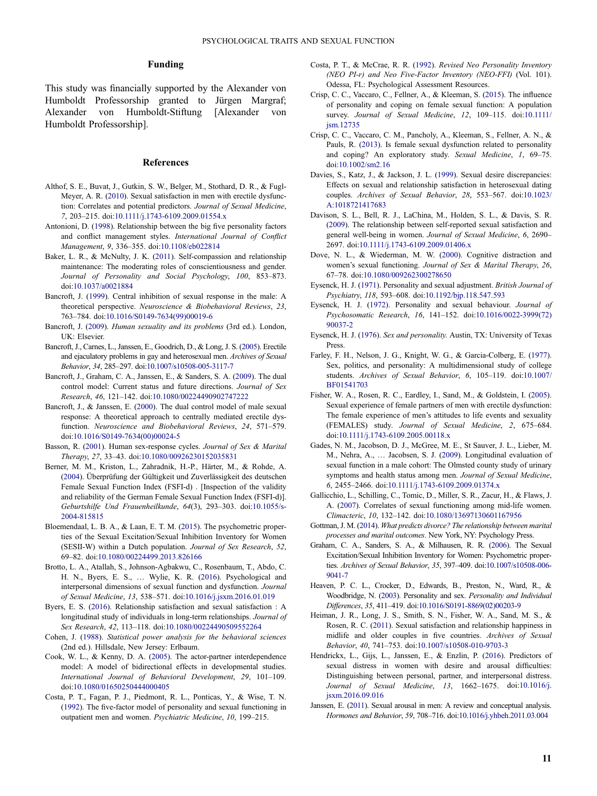#### Funding

<span id="page-11-0"></span>This study was financially supported by the Alexander von Humboldt Professorship granted to Jürgen Margraf; Alexander von Humboldt-Stiftung [Alexander von Humboldt Professorship].

#### References

- Althof, S. E., Buvat, J., Gutkin, S. W., Belger, M., Stothard, D. R., & Fugl-Meyer, A. R. [\(2010](#page-2-0)). Sexual satisfaction in men with erectile dysfunction: Correlates and potential predictors. Journal of Sexual Medicine, 7, 203–215. doi:[10.1111/j.1743-6109.2009.01554.x](https://doi.org/10.1111/j.1743-6109.2009.01554.x)
- Antonioni, D. ([1998\)](#page-9-0). Relationship between the big five personality factors and conflict management styles. International Journal of Conflict Management, 9, 336–355. doi:[10.1108/eb022814](https://doi.org/10.1108/eb022814)
- Baker, L. R., & McNulty, J. K. ([2011](#page-9-0)). Self-compassion and relationship maintenance: The moderating roles of conscientiousness and gender. Journal of Personality and Social Psychology, 100, 853–873. doi:[10.1037/a0021884](https://doi.org/10.1037/a0021884)
- Bancroft, J. [\(1999](#page-1-0)). Central inhibition of sexual response in the male: A theoretical perspective. Neuroscience & Biobehavioral Reviews, 23, 763–784. doi:[10.1016/S0149-7634\(99\)00019-6](https://doi.org/10.1016/S0149-7634(99)00019-6)
- Bancroft, J. ([2009\)](#page-2-0). Human sexuality and its problems (3rd ed.). London, UK: Elsevier.
- Bancroft, J., Carnes, L., Janssen, E., Goodrich, D., & Long, J. S. ([2005\)](#page-7-0). Erectile and ejaculatory problems in gay and heterosexual men. Archives of Sexual Behavior, 34, 285–297. doi:[10.1007/s10508-005-3117-7](https://doi.org/10.1007/s10508-005-3117-7)
- Bancroft, J., Graham, C. A., Janssen, E., & Sanders, S. A. [\(2009](#page-1-0)). The dual control model: Current status and future directions. Journal of Sex Research, 46, 121–142. doi:[10.1080/00224490902747222](https://doi.org/10.1080/00224490902747222)
- Bancroft, J., & Janssen, E. [\(2000](#page-1-0)). The dual control model of male sexual response: A theoretical approach to centrally mediated erectile dysfunction. Neuroscience and Biobehavioral Reviews, 24, 571–579. doi:[10.1016/S0149-7634\(00\)00024-5](https://doi.org/10.1016/S0149-7634(00)00024-5)
- Basson, R. [\(2001](#page-9-0)). Human sex-response cycles. Journal of Sex & Marital Therapy, 27, 33–43. doi:[10.1080/00926230152035831](https://doi.org/10.1080/00926230152035831)
- Berner, M. M., Kriston, L., Zahradnik, H.-P., Härter, M., & Rohde, A. [\(2004](#page-4-0)). Überprüfung der Gültigkeit und Zuverlässigkeit des deutschen Female Sexual Function Index (FSFI-d) . [Inspection of the validity and reliability of the German Female Sexual Function Index (FSFI-d)]. Geburtshilfe Und Frauenheilkunde, 64(3), 293–303. doi:[10.1055/s-](https://doi.org/10.1055/s-2004-815815)[2004-815815](https://doi.org/10.1055/s-2004-815815)
- Bloemendaal, L. B. A., & Laan, E. T. M. [\(2015](#page-1-0)). The psychometric properties of the Sexual Excitation/Sexual Inhibition Inventory for Women (SESII-W) within a Dutch population. Journal of Sex Research, 52, 69–82. doi:[10.1080/00224499.2013.826166](https://doi.org/10.1080/00224499.2013.826166)
- Brotto, L. A., Atallah, S., Johnson-Agbakwu, C., Rosenbaum, T., Abdo, C. H. N., Byers, E. S., … Wylie, K. R. ([2016\)](#page-1-0). Psychological and interpersonal dimensions of sexual function and dysfunction. Journal of Sexual Medicine, 13, 538–571. doi:[10.1016/j.jsxm.2016.01.019](https://doi.org/10.1016/j.jsxm.2016.01.019)
- Byers, E. S. ([2016\)](#page-10-0). Relationship satisfaction and sexual satisfaction : A longitudinal study of individuals in long-term relationships. Journal of Sex Research, 42, 113–118. doi:[10.1080/00224490509552264](https://doi.org/10.1080/00224490509552264)
- Cohen, J. [\(1988](#page-5-0)). Statistical power analysis for the behavioral sciences (2nd ed.). Hillsdale, New Jersey: Erlbaum.
- Cook, W. L., & Kenny, D. A. ([2005\)](#page-2-0). The actor-partner interdependence model: A model of bidirectional effects in developmental studies. International Journal of Behavioral Development, 29, 101–109. doi:[10.1080/01650250444000405](https://doi.org/10.1080/01650250444000405)
- Costa, P. T., Fagan, P. J., Piedmont, R. L., Ponticas, Y., & Wise, T. N. [\(1992](#page-2-0)). The five-factor model of personality and sexual functioning in outpatient men and women. Psychiatric Medicine, 10, 199–215.
- Costa, P. T., & McCrae, R. R. [\(1992](#page-1-0)). Revised Neo Personality Inventory (NEO PI-r) and Neo Five-Factor Inventory (NEO-FFI) (Vol. 101). Odessa, FL: Psychological Assessment Resources.
- Crisp, C. C., Vaccaro, C., Fellner, A., & Kleeman, S. ([2015\)](#page-3-0). The influence of personality and coping on female sexual function: A population survey. Journal of Sexual Medicine, 12, 109-115. doi:[10.1111/](https://doi.org/10.1111/jsm.12735) [jsm.12735](https://doi.org/10.1111/jsm.12735)
- Crisp, C. C., Vaccaro, C. M., Pancholy, A., Kleeman, S., Fellner, A. N., & Pauls, R. ([2013\)](#page-3-0). Is female sexual dysfunction related to personality and coping? An exploratory study. Sexual Medicine, 1, 69–75. doi:[10.1002/sm2.16](https://doi.org/10.1002/sm2.16)
- Davies, S., Katz, J., & Jackson, J. L. [\(1999](#page-8-0)). Sexual desire discrepancies: Effects on sexual and relationship satisfaction in heterosexual dating couples. Archives of Sexual Behavior, 28, 553–567. doi:[10.1023/](https://doi.org/10.1023/A:1018721417683) [A:1018721417683](https://doi.org/10.1023/A:1018721417683)
- Davison, S. L., Bell, R. J., LaChina, M., Holden, S. L., & Davis, S. R. [\(2009](#page-4-0)). The relationship between self-reported sexual satisfaction and general well-being in women. Journal of Sexual Medicine, 6, 2690-2697. doi:[10.1111/j.1743-6109.2009.01406.x](https://doi.org/10.1111/j.1743-6109.2009.01406.x)
- Dove, N. L., & Wiederman, M. W. ([2000\)](#page-8-0). Cognitive distraction and women's sexual functioning. Journal of Sex & Marital Therapy, 26, 67–78. doi:[10.1080/009262300278650](https://doi.org/10.1080/009262300278650)
- Eysenck, H. J. ([1971\)](#page-2-0). Personality and sexual adjustment. British Journal of Psychiatry, 118, 593–608. doi:[10.1192/bjp.118.547.593](https://doi.org/10.1192/bjp.118.547.593)
- Eysenck, H. J. ([1972\)](#page-9-0). Personality and sexual behaviour. Journal of Psychosomatic Research, 16, 141–152. doi:[10.1016/0022-3999\(72\)](https://doi.org/10.1016/0022-3999(72)90037-2) [90037-2](https://doi.org/10.1016/0022-3999(72)90037-2)
- Eysenck, H. J. ([1976\)](#page-2-0). Sex and personality. Austin, TX: University of Texas Press.
- Farley, F. H., Nelson, J. G., Knight, W. G., & Garcia-Colberg, E. [\(1977](#page-2-0)). Sex, politics, and personality: A multidimensional study of college students. Archives of Sexual Behavior, 6, 105–119. doi:[10.1007/](https://doi.org/10.1007/BF01541703) [BF01541703](https://doi.org/10.1007/BF01541703)
- Fisher, W. A., Rosen, R. C., Eardley, I., Sand, M., & Goldstein, I. [\(2005](#page-3-0)). Sexual experience of female partners of men with erectile dysfunction: The female experience of men's attitudes to life events and sexuality (FEMALES) study. Journal of Sexual Medicine, 2, 675–684. doi:[10.1111/j.1743-6109.2005.00118.x](https://doi.org/10.1111/j.1743-6109.2005.00118.x)
- Gades, N. M., Jacobson, D. J., McGree, M. E., St Sauver, J. L., Lieber, M. M., Nehra, A., … Jacobsen, S. J. ([2009\)](#page-4-0). Longitudinal evaluation of sexual function in a male cohort: The Olmsted county study of urinary symptoms and health status among men. Journal of Sexual Medicine, 6, 2455–2466. doi:[10.1111/j.1743-6109.2009.01374.x](https://doi.org/10.1111/j.1743-6109.2009.01374.x)
- Gallicchio, L., Schilling, C., Tomic, D., Miller, S. R., Zacur, H., & Flaws, J. A. [\(2007](#page-4-0)). Correlates of sexual functioning among mid-life women. Climacteric, 10, 132–142. doi:[10.1080/13697130601167956](https://doi.org/10.1080/13697130601167956)
- Gottman, J. M. ([2014](#page-9-0)). What predicts divorce? The relationship between marital processes and marital outcomes. New York, NY: Psychology Press.
- Graham, C. A., Sanders, S. A., & Milhausen, R. R. ([2006](#page-2-0)). The Sexual Excitation/Sexual Inhibition Inventory for Women: Psychometric properties. Archives of Sexual Behavior, 35, 397–409. doi:[10.1007/s10508-006-](https://doi.org/10.1007/s10508-006-9041-7) [9041-7](https://doi.org/10.1007/s10508-006-9041-7)
- Heaven, P. C. L., Crocker, D., Edwards, B., Preston, N., Ward, R., & Woodbridge, N. [\(2003\)](#page-2-0). Personality and sex. Personality and Individual Differences, 35, 411–419. doi:[10.1016/S0191-8869\(02\)00203-9](https://doi.org/10.1016/S0191-8869(02)00203-9)
- Heiman, J. R., Long, J. S., Smith, S. N., Fisher, W. A., Sand, M. S., & Rosen, R. C. [\(2011\)](#page-2-0). Sexual satisfaction and relationship happiness in midlife and older couples in five countries. Archives of Sexual Behavior, 40, 741–753. doi:[10.1007/s10508-010-9703-3](https://doi.org/10.1007/s10508-010-9703-3)
- Hendrickx, L., Gijs, L., Janssen, E., & Enzlin, P. ([2016](#page-1-0)). Predictors of sexual distress in women with desire and arousal difficulties: Distinguishing between personal, partner, and interpersonal distress. Journal of Sexual Medicine, 13, 1662–1675. doi:[10.1016/j.](https://doi.org/10.1016/j.jsxm.2016.09.016) [jsxm.2016.09.016](https://doi.org/10.1016/j.jsxm.2016.09.016)
- Janssen, E. ([2011\)](#page-2-0). Sexual arousal in men: A review and conceptual analysis. Hormones and Behavior, 59, 708–716. doi:[10.1016/j.yhbeh.2011.03.004](https://doi.org/10.1016/j.yhbeh.2011.03.004)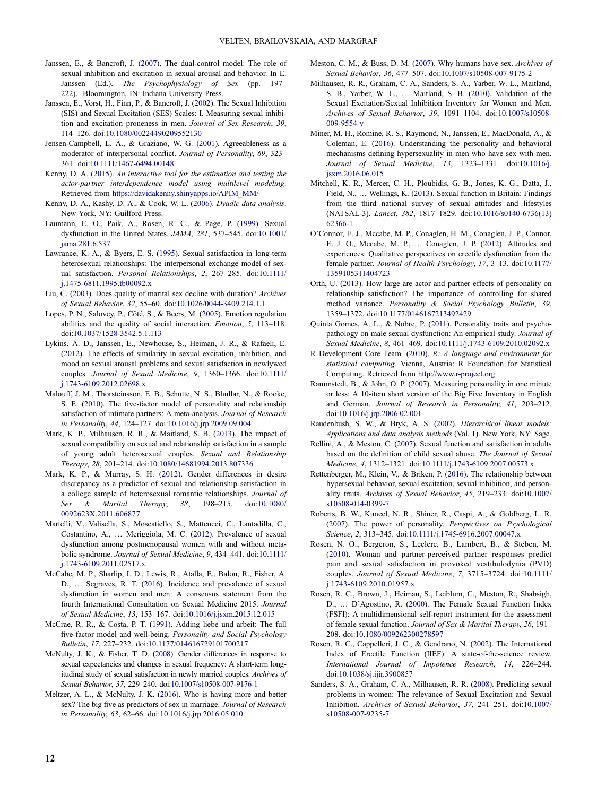- <span id="page-12-0"></span>Janssen, E., & Bancroft, J. [\(2007](#page-2-0)). The dual-control model: The role of sexual inhibition and excitation in sexual arousal and behavior. In E. Janssen (Ed.). The Psychophysiology of Sex (pp. 197– 222). Bloomington, IN: Indiana University Press.
- Janssen, E., Vorst, H., Finn, P., & Bancroft, J. ([2002](#page-2-0)). The Sexual Inhibition (SIS) and Sexual Excitation (SES) Scales: I. Measuring sexual inhibition and excitation proneness in men. Journal of Sex Research, 39, 114–126. doi:[10.1080/00224490209552130](https://doi.org/10.1080/00224490209552130)
- Jensen-Campbell, L. A., & Graziano, W. G. [\(2001\)](#page-9-0). Agreeableness as a moderator of interpersonal conflict. Journal of Personality, 69, 323-361. doi:[10.1111/1467-6494.00148](https://doi.org/10.1111/1467-6494.00148)
- Kenny, D. A. [\(2015\)](#page-5-0). An interactive tool for the estimation and testing the actor-partner interdependence model using multilevel modeling. Retrieved from [https://davidakenny.shinyapps.io/APIM\\_MM/](https://davidakenny.shinyapps.io/APIM_MM/)
- Kenny, D. A., Kashy, D. A., & Cook, W. L. [\(2006](#page-3-0)). Dyadic data analysis. New York, NY: Guilford Press.
- Laumann, E. O., Paik, A., Rosen, R. C., & Page, P. ([1999](#page-10-0)). Sexual dysfunction in the United States. JAMA, 281, 537–545. doi:[10.1001/](https://doi.org/10.1001/jama.281.6.537) [jama.281.6.537](https://doi.org/10.1001/jama.281.6.537)
- Lawrance, K. A., & Byers, E. S. [\(1995](#page-2-0)). Sexual satisfaction in long-term heterosexual relationships: The interpersonal exchange model of sexual satisfaction. Personal Relationships, 2, 267–285. doi:[10.1111/](https://doi.org/10.1111/j.1475-6811.1995.tb00092.x) [j.1475-6811.1995.tb00092.x](https://doi.org/10.1111/j.1475-6811.1995.tb00092.x)
- Liu, C. [\(2003](#page-4-0)). Does quality of marital sex decline with duration? Archives of Sexual Behavior, 32, 55–60. doi:[10.1026/0044-3409.214.1.1](https://doi.org/10.1026/0044-3409.214.1.1)
- Lopes, P. N., Salovey, P., Côté, S., & Beers, M. [\(2005\)](#page-9-0). Emotion regulation abilities and the quality of social interaction. Emotion, 5, 113–118. doi:[10.1037/1528-3542.5.1.113](https://doi.org/10.1037/1528-3542.5.1.113)
- Lykins, A. D., Janssen, E., Newhouse, S., Heiman, J. R., & Rafaeli, E. [\(2012](#page-2-0)). The effects of similarity in sexual excitation, inhibition, and mood on sexual arousal problems and sexual satisfaction in newlywed couples. Journal of Sexual Medicine, 9, 1360–1366. doi:[10.1111/](https://doi.org/10.1111/j.1743-6109.2012.02698.x) [j.1743-6109.2012.02698.x](https://doi.org/10.1111/j.1743-6109.2012.02698.x)
- Malouff, J. M., Thorsteinsson, E. B., Schutte, N. S., Bhullar, N., & Rooke, S. E. ([2010\)](#page-4-0). The five-factor model of personality and relationship satisfaction of intimate partners: A meta-analysis. Journal of Research in Personality, 44, 124–127. doi:[10.1016/j.jrp.2009.09.004](https://doi.org/10.1016/j.jrp.2009.09.004)
- Mark, K. P., Milhausen, R. R., & Maitland, S. B. ([2013\)](#page-2-0). The impact of sexual compatibility on sexual and relationship satisfaction in a sample of young adult heterosexual couples. Sexual and Relationship Therapy, 28, 201–214. doi:[10.1080/14681994.2013.807336](https://doi.org/10.1080/14681994.2013.807336)
- Mark, K. P., & Murray, S. H. ([2012](#page-8-0)). Gender differences in desire discrepancy as a predictor of sexual and relationship satisfaction in a college sample of heterosexual romantic relationships. Journal of Sex & Marital Therapy, 38, 198–215. doi:[10.1080/](https://doi.org/10.1080/0092623X.2011.606877) [0092623X.2011.606877](https://doi.org/10.1080/0092623X.2011.606877)
- Martelli, V., Valisella, S., Moscatiello, S., Matteucci, C., Lantadilla, C., Costantino, A., … Meriggiola, M. C. [\(2012](#page-4-0)). Prevalence of sexual dysfunction among postmenopausal women with and without metabolic syndrome. Journal of Sexual Medicine, 9, 434–441. doi:[10.1111/](https://doi.org/10.1111/j.1743-6109.2011.02517.x) [j.1743-6109.2011.02517.x](https://doi.org/10.1111/j.1743-6109.2011.02517.x)
- McCabe, M. P., Sharlip, I. D., Lewis, R., Atalla, E., Balon, R., Fisher, A. D., … Segraves, R. T. [\(2016](#page-1-0)). Incidence and prevalence of sexual dysfunction in women and men: A consensus statement from the fourth International Consultation on Sexual Medicine 2015. Journal of Sexual Medicine, 13, 153–167. doi:[10.1016/j.jsxm.2015.12.015](https://doi.org/10.1016/j.jsxm.2015.12.015)
- McCrae, R. R., & Costa, P. T. [\(1991](#page-9-0)). Adding liebe und arbeit: The full five-factor model and well-being. Personality and Social Psychology Bulletin, 17, 227–232. doi:[10.1177/014616729101700217](https://doi.org/10.1177/014616729101700217)
- McNulty, J. K., & Fisher, T. D. [\(2008\)](#page-8-0). Gender differences in response to sexual expectancies and changes in sexual frequency: A short-term longitudinal study of sexual satisfaction in newly married couples. Archives of Sexual Behavior, 37, 229–240. doi:[10.1007/s10508-007-9176-1](https://doi.org/10.1007/s10508-007-9176-1)
- Meltzer, A. L., & McNulty, J. K. [\(2016](#page-9-0)). Who is having more and better sex? The big five as predictors of sex in marriage. Journal of Research in Personality, 63, 62–66. doi:[10.1016/j.jrp.2016.05.010](https://doi.org/10.1016/j.jrp.2016.05.010)
- Meston, C. M., & Buss, D. M. ([2007\)](#page-9-0). Why humans have sex. Archives of Sexual Behavior, 36, 477–507. doi:[10.1007/s10508-007-9175-2](https://doi.org/10.1007/s10508-007-9175-2)
- Milhausen, R. R., Graham, C. A., Sanders, S. A., Yarber, W. L., Maitland, S. B., Yarber, W. L., … Maitland, S. B. ([2010\)](#page-3-0). Validation of the Sexual Excitation/Sexual Inhibition Inventory for Women and Men. Archives of Sexual Behavior, 39, 1091–1104. doi:[10.1007/s10508-](https://doi.org/10.1007/s10508-009-9554-y) [009-9554-y](https://doi.org/10.1007/s10508-009-9554-y)
- Miner, M. H., Romine, R. S., Raymond, N., Janssen, E., MacDonald, A., & Coleman, E. ([2016\)](#page-10-0). Understanding the personality and behavioral mechanisms defining hypersexuality in men who have sex with men. Journal of Sexual Medicine, 13, 1323–1331. doi:[10.1016/j.](https://doi.org/10.1016/j.jsxm.2016.06.015) [jsxm.2016.06.015](https://doi.org/10.1016/j.jsxm.2016.06.015)
- Mitchell, K. R., Mercer, C. H., Ploubidis, G. B., Jones, K. G., Datta, J., Field, N., … Wellings, K. ([2013\)](#page-10-0). Sexual function in Britain: Findings from the third national survey of sexual attitudes and lifestyles (NATSAL-3). Lancet, 382, 1817–1829. doi:[10.1016/s0140-6736\(13\)](https://doi.org/10.1016/s0140-6736(13)62366-1) [62366-1](https://doi.org/10.1016/s0140-6736(13)62366-1)
- O'Connor, E. J., Mccabe, M. P., Conaglen, H. M., Conaglen, J. P., Connor, E. J. O., Mccabe, M. P., … Conaglen, J. P. ([2012\)](#page-8-0). Attitudes and experiences: Qualitative perspectives on erectile dysfunction from the female partner. Journal of Health Psychology, 17, 3–13. doi:[10.1177/](https://doi.org/10.1177/1359105311404723) [1359105311404723](https://doi.org/10.1177/1359105311404723)
- Orth, U. [\(2013\)](#page-1-0). How large are actor and partner effects of personality on relationship satisfaction? The importance of controlling for shared method variance. Personality & Social Psychology Bulletin, 39, 1359–1372. doi:[10.1177/0146167213492429](https://doi.org/10.1177/0146167213492429)
- Quinta Gomes, A. L., & Nobre, P. ([2011\)](#page-3-0). Personality traits and psychopathology on male sexual dysfunction: An empirical study. Journal of Sexual Medicine, 8, 461–469. doi:[10.1111/j.1743-6109.2010.02092.x](https://doi.org/10.1111/j.1743-6109.2010.02092.x)
- R Development Core Team. ([2010\)](#page-5-0). R: A language and environment for statistical computing. Vienna, Austria: R Foundation for Statistical Computing. Retrieved from <http://www.r-project.org>
- Rammstedt, B., & John, O. P. ([2007\)](#page-3-0). Measuring personality in one minute or less: A 10-item short version of the Big Five Inventory in English and German. Journal of Research in Personality, 41, 203–212. doi:[10.1016/j.jrp.2006.02.001](https://doi.org/10.1016/j.jrp.2006.02.001)
- Raudenbush, S. W., & Bryk, A. S. [\(2002\)](#page-3-0). Hierarchical linear models: Applications and data analysis methods (Vol. 1). New York, NY: Sage.
- Rellini, A., & Meston, C. [\(2007\)](#page-4-0). Sexual function and satisfaction in adults based on the definition of child sexual abuse. The Journal of Sexual Medicine, 4, 1312–1321. doi:[10.1111/j.1743-6109.2007.00573.x](https://doi.org/10.1111/j.1743-6109.2007.00573.x)
- Rettenberger, M., Klein, V., & Briken, P. [\(2016](#page-10-0)). The relationship between hypersexual behavior, sexual excitation, sexual inhibition, and personality traits. Archives of Sexual Behavior, 45, 219–233. doi:[10.1007/](https://doi.org/10.1007/s10508-014-0399-7) [s10508-014-0399-7](https://doi.org/10.1007/s10508-014-0399-7)
- Roberts, B. W., Kuncel, N. R., Shiner, R., Caspi, A., & Goldberg, L. R. [\(2007](#page-9-0)). The power of personality. Perspectives on Psychological Science, 2, 313–345. doi:[10.1111/j.1745-6916.2007.00047.x](https://doi.org/10.1111/j.1745-6916.2007.00047.x)
- Rosen, N. O., Bergeron, S., Leclerc, B., Lambert, B., & Steben, M. ([2010](#page-9-0)). Woman and partner-perceived partner responses predict pain and sexual satisfaction in provoked vestibulodynia (PVD) couples. Journal of Sexual Medicine, 7, 3715–3724. doi:[10.1111/](https://doi.org/10.1111/j.1743-6109.2010.01957.x) [j.1743-6109.2010.01957.x](https://doi.org/10.1111/j.1743-6109.2010.01957.x)
- Rosen, R. C., Brown, J., Heiman, S., Leiblum, C., Meston, R., Shabsigh, D., … D'Agostino, R. ([2000\)](#page-1-0). The Female Sexual Function Index (FSFI): A multidimensional self-report instrument for the assessment of female sexual function. Journal of Sex & Marital Therapy, 26, 191– 208. doi:[10.1080/009262300278597](https://doi.org/10.1080/009262300278597)
- Rosen, R. C., Cappelleri, J. C., & Gendrano, N. ([2002\)](#page-2-0). The International Index of Erectile Function (IIEF): A state-of-the-science review. International Journal of Impotence Research, 14, 226–244. doi:[10.1038/sj.ijir.3900857](https://doi.org/10.1038/sj.ijir.3900857)
- Sanders, S. A., Graham, C. A., Milhausen, R. R. [\(2008](#page-1-0)). Predicting sexual problems in women: The relevance of Sexual Excitation and Sexual Inhibition. Archives of Sexual Behavior, 37, 241–251. doi:[10.1007/](https://doi.org/10.1007/s10508-007-9235-7) [s10508-007-9235-7](https://doi.org/10.1007/s10508-007-9235-7)